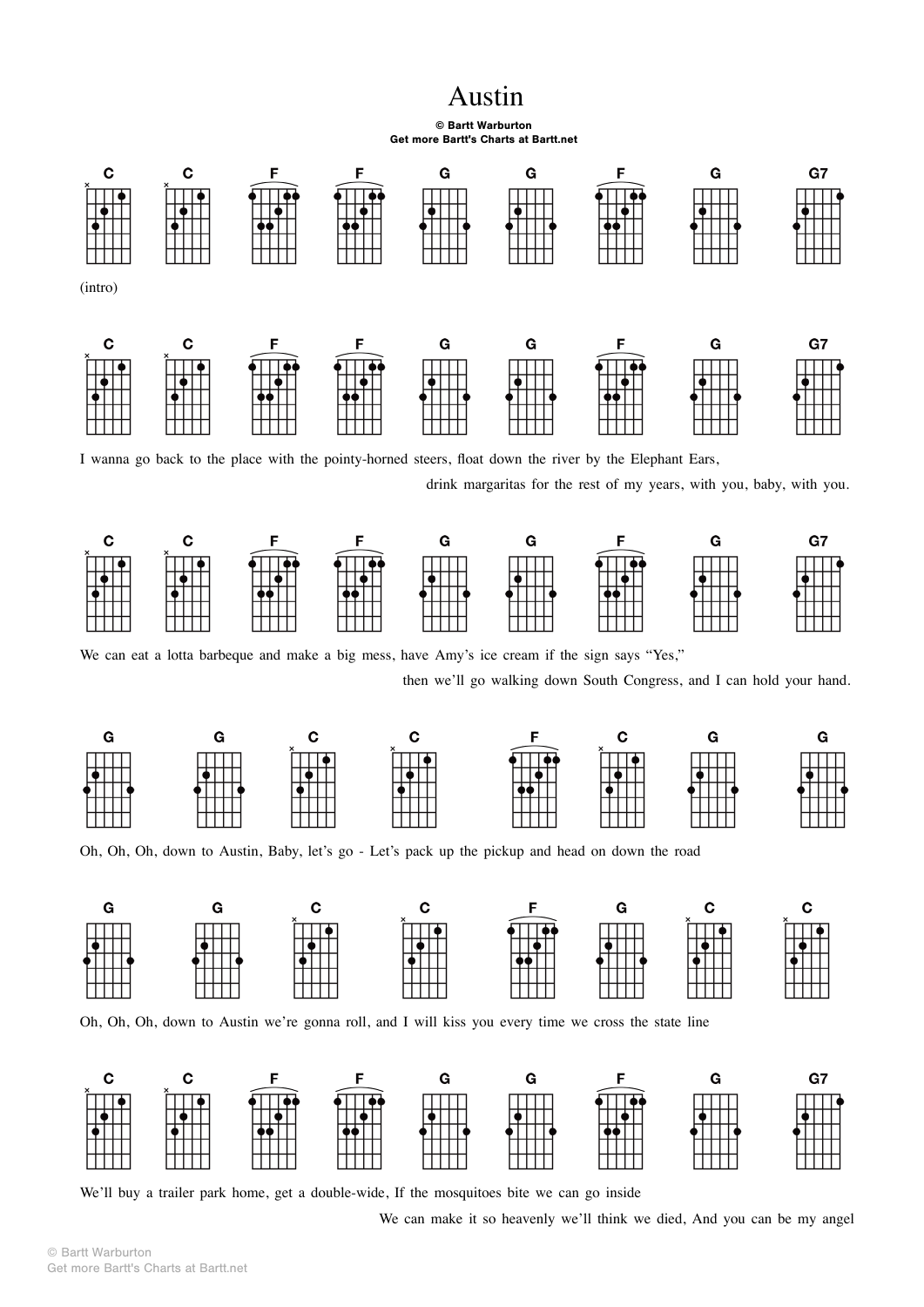## Austin

## © Bartt Warburton Get more Bartt's Charts at Bartt.net



I wanna go back to the place with the pointy-horned steers, float down the river by the Elephant Ears,

drink margaritas for the rest of my years, with you, baby, with you.



We can eat a lotta barbeque and make a big mess, have Amy's ice cream if the sign says "Yes,"

then we'll go walking down South Congress, and I can hold your hand.



Oh, Oh, Oh, down to Austin, Baby, let's go - Let's pack up the pickup and head on down the road



Oh, Oh, Oh, down to Austin we're gonna roll, and I will kiss you every time we cross the state line



We'll buy a trailer park home, get a double-wide, If the mosquitoes bite we can go inside

We can make it so heavenly we'll think we died, And you can be my angel

© Bartt Warburton Get more Bartt's Charts at Bartt.net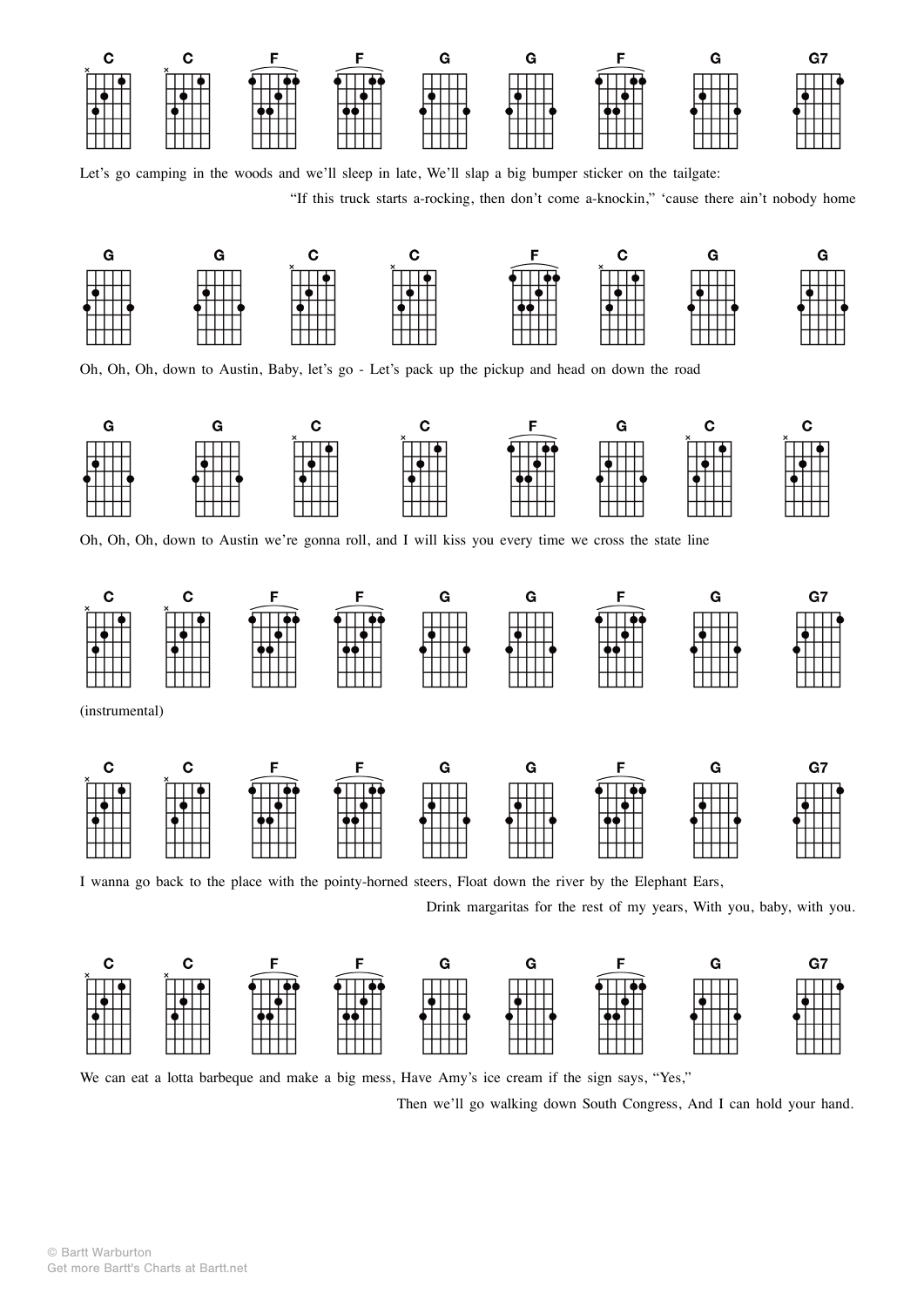

Let's go camping in the woods and we'll sleep in late, We'll slap a big bumper sticker on the tailgate:

"If this truck starts a-rocking, then don't come a-knockin," 'cause there ain't nobody home



Oh, Oh, Oh, down to Austin, Baby, let's go - Let's pack up the pickup and head on down the road



Oh, Oh, Oh, down to Austin we're gonna roll, and I will kiss you every time we cross the state line



I wanna go back to the place with the pointy-horned steers, Float down the river by the Elephant Ears,

Drink margaritas for the rest of my years, With you, baby, with you.



We can eat a lotta barbeque and make a big mess, Have Amy's ice cream if the sign says, "Yes,"

Then we'll go walking down South Congress, And I can hold your hand.

© Bartt Warburton Get more Bartt's Charts at Bartt.net